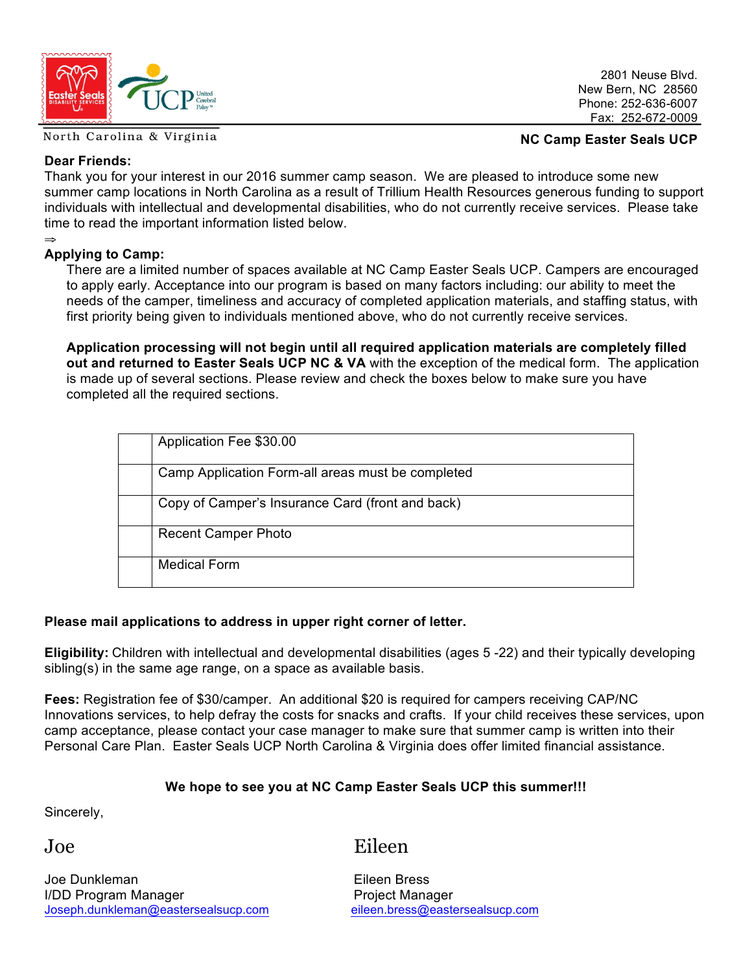

North Carolina & Virginia

2801 Neuse Blvd. New Bern, NC 28560 Phone: 252-636-6007 Fax: 252-672-0009

**NC Camp Easter Seals UCP**

### **Dear Friends:**

⇒

Thank you for your interest in our 2016 summer camp season. We are pleased to introduce some new summer camp locations in North Carolina as a result of Trillium Health Resources generous funding to support individuals with intellectual and developmental disabilities, who do not currently receive services. Please take time to read the important information listed below.

## **Applying to Camp:**

There are a limited number of spaces available at NC Camp Easter Seals UCP. Campers are encouraged to apply early. Acceptance into our program is based on many factors including: our ability to meet the needs of the camper, timeliness and accuracy of completed application materials, and staffing status, with first priority being given to individuals mentioned above, who do not currently receive services.

**Application processing will not begin until all required application materials are completely filled out and returned to Easter Seals UCP NC & VA** with the exception of the medical form.The application is made up of several sections. Please review and check the boxes below to make sure you have completed all the required sections.

| Application Fee \$30.00                           |
|---------------------------------------------------|
| Camp Application Form-all areas must be completed |
| Copy of Camper's Insurance Card (front and back)  |
| <b>Recent Camper Photo</b>                        |
| <b>Medical Form</b>                               |

### **Please mail applications to address in upper right corner of letter.**

**Eligibility:** Children with intellectual and developmental disabilities (ages 5 -22) and their typically developing sibling(s) in the same age range, on a space as available basis.

**Fees:** Registration fee of \$30/camper. An additional \$20 is required for campers receiving CAP/NC Innovations services, to help defray the costs for snacks and crafts. If your child receives these services, upon camp acceptance, please contact your case manager to make sure that summer camp is written into their Personal Care Plan. Easter Seals UCP North Carolina & Virginia does offer limited financial assistance.

### **We hope to see you at NC Camp Easter Seals UCP this summer!!!**

Sincerely,

## Joe Eileen

Joe Dunkleman Eileen Bress I/DD Program Manager **Project Manager** Project Manager Joseph.dunkleman@eastersealsucp.com eileen.bress@eastersealsucp.com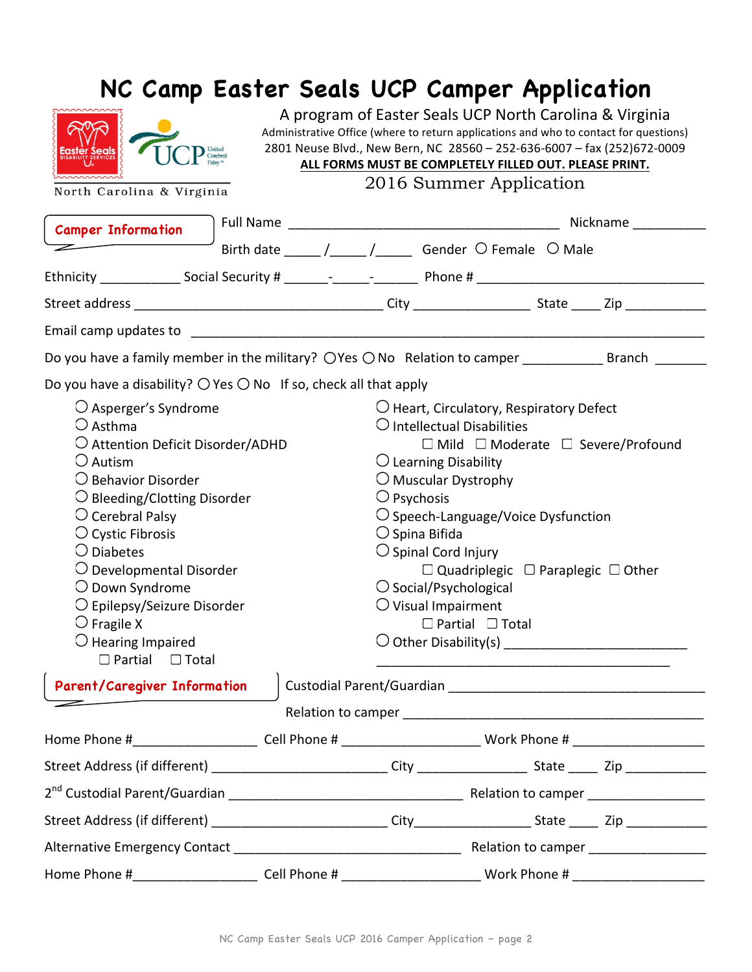# **NC Camp Easter Seals UCP Camper Application**



A program of Easter Seals UCP North Carolina & Virginia Administrative Office (where to return applications and who to contact for questions) 2801 Neuse Blvd., New Bern, NC 28560 - 252-636-6007 - fax (252)672-0009 ALL FORMS MUST BE COMPLETELY FILLED OUT. PLEASE PRINT. 2016 Summer Application

North Carolina & Virginia

| <b>Camper Information</b>                                                                                                                                                                                                                                                                                                                                                                                                                                                    |                                                 |                                                                                                                                                                                                                                                                                                                                                                                                                                                             |  | Nickname |
|------------------------------------------------------------------------------------------------------------------------------------------------------------------------------------------------------------------------------------------------------------------------------------------------------------------------------------------------------------------------------------------------------------------------------------------------------------------------------|-------------------------------------------------|-------------------------------------------------------------------------------------------------------------------------------------------------------------------------------------------------------------------------------------------------------------------------------------------------------------------------------------------------------------------------------------------------------------------------------------------------------------|--|----------|
|                                                                                                                                                                                                                                                                                                                                                                                                                                                                              |                                                 | Birth date _____ /_____ /_____ Gender O Female O Male                                                                                                                                                                                                                                                                                                                                                                                                       |  |          |
|                                                                                                                                                                                                                                                                                                                                                                                                                                                                              |                                                 |                                                                                                                                                                                                                                                                                                                                                                                                                                                             |  |          |
|                                                                                                                                                                                                                                                                                                                                                                                                                                                                              |                                                 |                                                                                                                                                                                                                                                                                                                                                                                                                                                             |  |          |
| Email camp updates to entitled and the control of the control of the control of the control of the control of                                                                                                                                                                                                                                                                                                                                                                |                                                 |                                                                                                                                                                                                                                                                                                                                                                                                                                                             |  |          |
| Do you have a family member in the military? OYes ONo Relation to camper _____________ Branch ________                                                                                                                                                                                                                                                                                                                                                                       |                                                 |                                                                                                                                                                                                                                                                                                                                                                                                                                                             |  |          |
| Do you have a disability? $\bigcirc$ Yes $\bigcirc$ No If so, check all that apply                                                                                                                                                                                                                                                                                                                                                                                           |                                                 |                                                                                                                                                                                                                                                                                                                                                                                                                                                             |  |          |
| $\bigcirc$ Asperger's Syndrome<br>$\bigcirc$ Asthma<br>$\bigcirc$ Attention Deficit Disorder/ADHD<br>$\bigcirc$ Autism<br>$\bigcirc$ Behavior Disorder<br>$\cup$ Bleeding/Clotting Disorder<br>$\bigcirc$ Cerebral Palsy<br>$\bigcirc$ Cystic Fibrosis<br>$\bigcirc$ Diabetes<br>$\bigcirc$ Developmental Disorder<br>$\bigcirc$ Down Syndrome<br>$\bigcirc$ Epilepsy/Seizure Disorder<br>$\bigcirc$ Fragile X<br>$\bigcirc$ Hearing Impaired<br>$\Box$ Partial $\Box$ Total | $\bigcirc$ Psychosis<br>$\bigcirc$ Spina Bifida | $\bigcirc$ Heart, Circulatory, Respiratory Defect<br>$\bigcirc$ Intellectual Disabilities<br>$\Box$ Mild $\Box$ Moderate $\Box$ Severe/Profound<br>$\bigcirc$ Learning Disability<br>$\bigcirc$ Muscular Dystrophy<br>$\bigcirc$ Speech-Language/Voice Dysfunction<br>$\bigcirc$ Spinal Cord Injury<br>$\Box$ Quadriplegic $\Box$ Paraplegic $\Box$ Other<br>$\bigcirc$ Social/Psychological<br>$\bigcirc$ Visual Impairment<br>$\Box$ Partial $\Box$ Total |  |          |
| <b>Parent/Caregiver Information</b>                                                                                                                                                                                                                                                                                                                                                                                                                                          |                                                 |                                                                                                                                                                                                                                                                                                                                                                                                                                                             |  |          |
|                                                                                                                                                                                                                                                                                                                                                                                                                                                                              |                                                 |                                                                                                                                                                                                                                                                                                                                                                                                                                                             |  |          |
| Home Phone #___________________________Cell Phone # ___________________________Work Phone # __________________                                                                                                                                                                                                                                                                                                                                                               |                                                 |                                                                                                                                                                                                                                                                                                                                                                                                                                                             |  |          |
|                                                                                                                                                                                                                                                                                                                                                                                                                                                                              |                                                 |                                                                                                                                                                                                                                                                                                                                                                                                                                                             |  |          |
|                                                                                                                                                                                                                                                                                                                                                                                                                                                                              |                                                 |                                                                                                                                                                                                                                                                                                                                                                                                                                                             |  |          |
|                                                                                                                                                                                                                                                                                                                                                                                                                                                                              |                                                 |                                                                                                                                                                                                                                                                                                                                                                                                                                                             |  |          |
|                                                                                                                                                                                                                                                                                                                                                                                                                                                                              |                                                 |                                                                                                                                                                                                                                                                                                                                                                                                                                                             |  |          |
| Home Phone #                                                                                                                                                                                                                                                                                                                                                                                                                                                                 |                                                 | Cell Phone # ____________________________ Work Phone # _________________________                                                                                                                                                                                                                                                                                                                                                                            |  |          |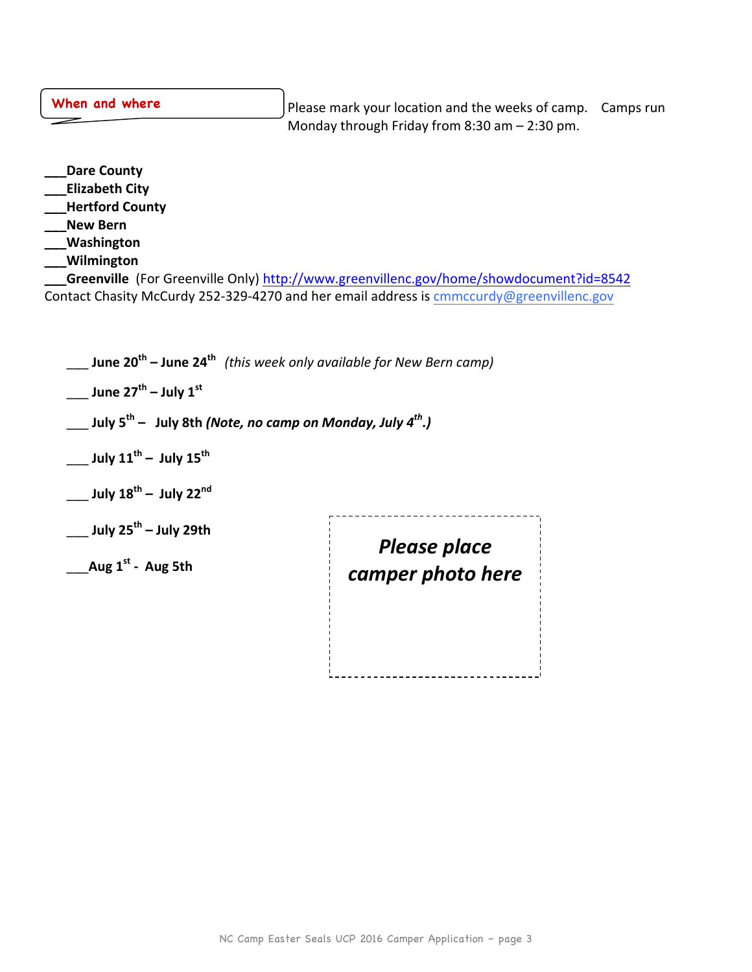**When and where** 

Please mark your location and the weeks of camp. Camps run Monday through Friday from  $8:30$  am  $- 2:30$  pm.

- Dare County
- **Elizabeth City**
- **\_\_\_Hertford County**
- **New Bern**
- **Washington**
- **\_\_\_Wilmington**

**\_\_\_Greenville** (For Greenville Only) http://www.greenvillenc.gov/home/showdocument?id=8542 Contact Chasity McCurdy 252-329-4270 and her email address is cmmccurdy@greenvillenc.gov

**June 20<sup>th</sup> – June 24<sup>th</sup> (this week only available for New Bern camp)** 

\_\_\_ **June 27th – July 1st**

- \_\_\_ **July 5th – July 8th** *(Note, no camp on Monday, July 4th.)*
- \_\_\_ **July 11th – July 15th**
- \_\_\_ **July 18th – July 22nd**

\_\_\_ **July 25th – July 29th**

\_\_\_**Aug 1st - Aug 5th**

*Please place camper photo here*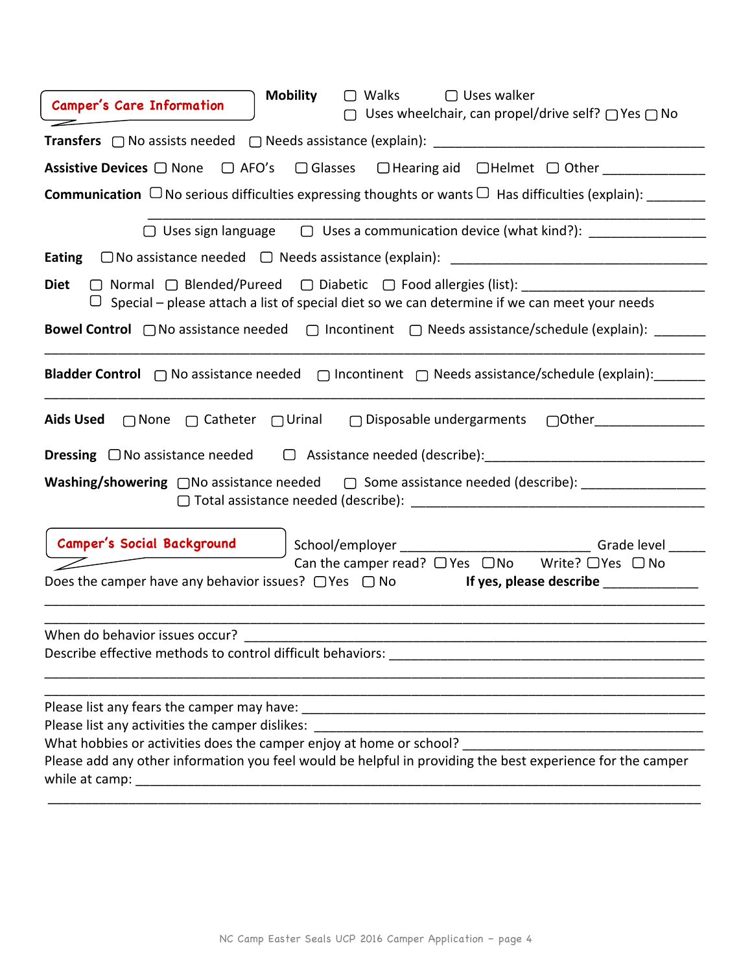| <b>Mobility</b> $\Box$ Walks $\Box$ Uses walker<br><b>Camper's Care Information</b><br>□ Uses wheelchair, can propel/drive self? □ Yes □ No                                                                          |  |  |  |  |  |
|----------------------------------------------------------------------------------------------------------------------------------------------------------------------------------------------------------------------|--|--|--|--|--|
|                                                                                                                                                                                                                      |  |  |  |  |  |
| Assistive Devices □ None □ AFO's □ Glasses □ Hearing aid □ Helmet □ Other _____________                                                                                                                              |  |  |  |  |  |
| <b>Communication</b> $\Box$ No serious difficulties expressing thoughts or wants $\Box$ Has difficulties (explain):                                                                                                  |  |  |  |  |  |
| □ Uses sign language □ Uses a communication device (what kind?): _______________                                                                                                                                     |  |  |  |  |  |
|                                                                                                                                                                                                                      |  |  |  |  |  |
| □ Normal □ Blended/Pureed □ Diabetic □ Food allergies (list): _________________________<br>Diet<br>$\Box$ Special – please attach a list of special diet so we can determine if we can meet your needs               |  |  |  |  |  |
| <b>Bowel Control</b> $\Box$ No assistance needed $\Box$ Incontinent $\Box$ Needs assistance/schedule (explain): $\Box$                                                                                               |  |  |  |  |  |
| <b>Bladder Control</b> $\Box$ No assistance needed $\Box$ Incontinent $\Box$ Needs assistance/schedule (explain):                                                                                                    |  |  |  |  |  |
|                                                                                                                                                                                                                      |  |  |  |  |  |
| Dressing □ No assistance needed □ Assistance needed (describe): ___________________________________                                                                                                                  |  |  |  |  |  |
|                                                                                                                                                                                                                      |  |  |  |  |  |
| Camper's Social Background<br>Can the camper read? $\Box$ Yes $\Box$ No Write? $\Box$ Yes $\Box$ No<br>Does the camper have any behavior issues? $\Box$ Yes $\Box$ No <b>If yes, please describe</b> _______________ |  |  |  |  |  |
| When do behavior issues occur?                                                                                                                                                                                       |  |  |  |  |  |
| Please add any other information you feel would be helpful in providing the best experience for the camper                                                                                                           |  |  |  |  |  |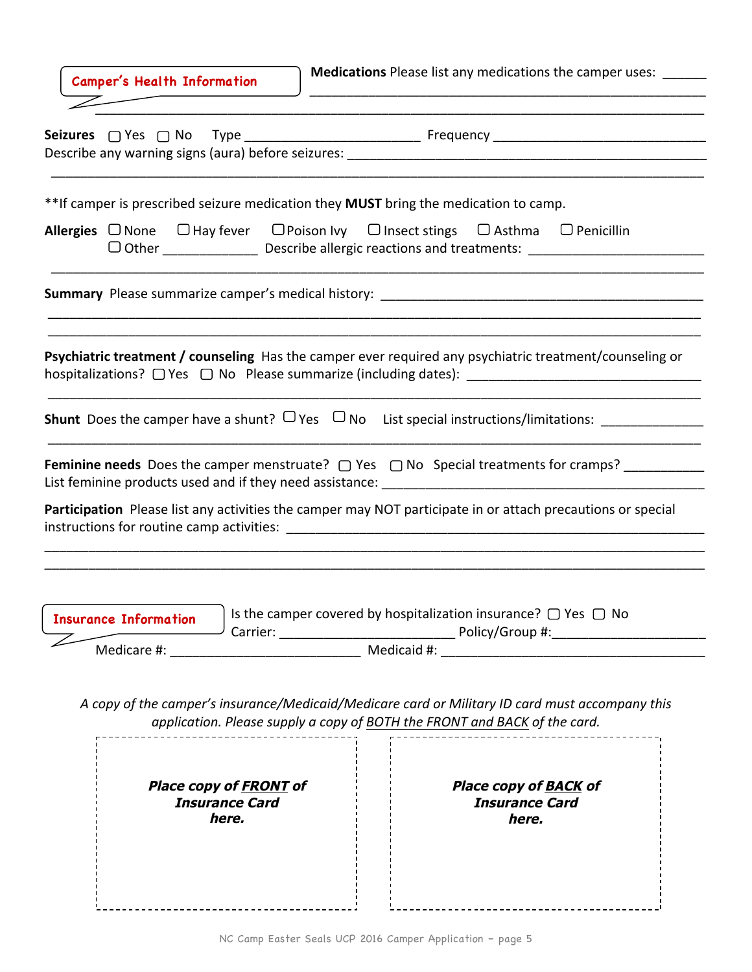| <b>Camper's Health Information</b>                                                    | <b>Medications</b> Please list any medications the camper uses: ______                                                                                                                                         |
|---------------------------------------------------------------------------------------|----------------------------------------------------------------------------------------------------------------------------------------------------------------------------------------------------------------|
|                                                                                       |                                                                                                                                                                                                                |
| ** If camper is prescribed seizure medication they MUST bring the medication to camp. |                                                                                                                                                                                                                |
|                                                                                       | Allergies □ None □ Hay fever □ Poison Ivy □ Insect stings □ Asthma □ Penicillin                                                                                                                                |
|                                                                                       |                                                                                                                                                                                                                |
|                                                                                       | Psychiatric treatment / counseling Has the camper ever required any psychiatric treatment/counseling or<br>hospitalizations? □ Yes □ No Please summarize (including dates): __________________________________ |
|                                                                                       |                                                                                                                                                                                                                |
|                                                                                       | <b>Feminine needs</b> Does the camper menstruate? □ Yes □ No Special treatments for cramps? ___________                                                                                                        |
|                                                                                       | Participation Please list any activities the camper may NOT participate in or attach precautions or special                                                                                                    |
| <b>Insurance Information</b>                                                          | $\Box$ Is the camper covered by hospitalization insurance? $\Box$ Yes $\Box$ No                                                                                                                                |
|                                                                                       |                                                                                                                                                                                                                |
|                                                                                       | A copy of the camper's insurance/Medicaid/Medicare card or Military ID card must accompany this<br>application. Please supply a copy of BOTH the FRONT and BACK of the card.                                   |
| Place copy of <b>FRONT</b> of<br><b>Insurance Card</b><br>here.                       | <b>Place copy of BACK of</b><br><b>Insurance Card</b><br>here.                                                                                                                                                 |
|                                                                                       |                                                                                                                                                                                                                |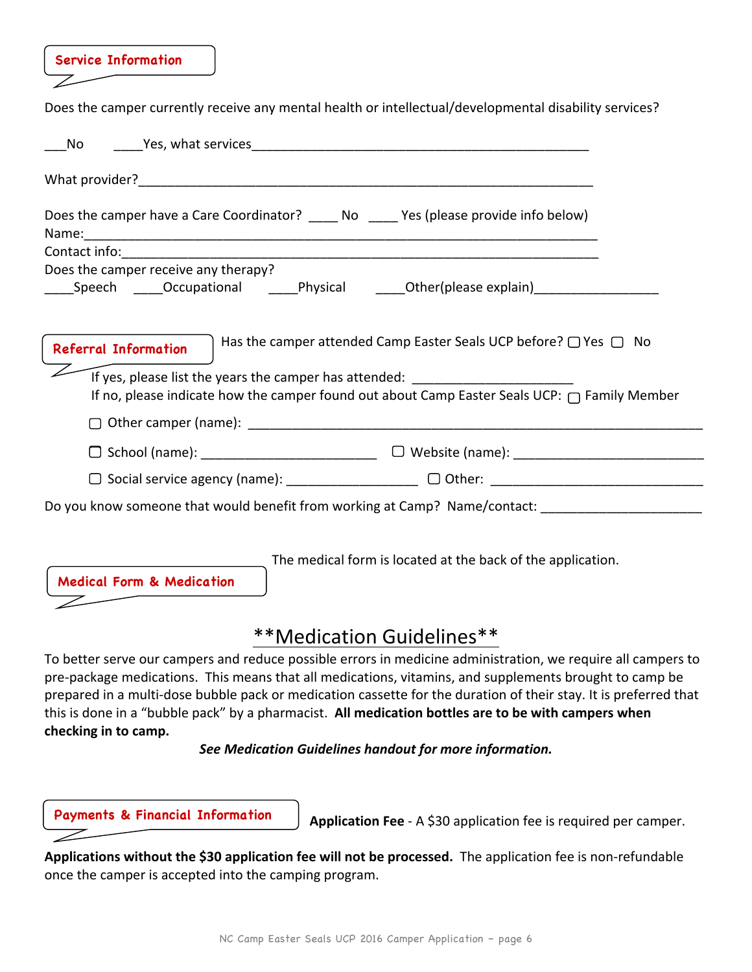Does the camper currently receive any mental health or intellectual/developmental disability services?

|                                      | Does the camper have a Care Coordinator? _____ No _____ Yes (please provide info below)             |  |
|--------------------------------------|-----------------------------------------------------------------------------------------------------|--|
|                                      |                                                                                                     |  |
| Does the camper receive any therapy? |                                                                                                     |  |
|                                      | _____Speech ______Occupational _______Physical _______Other(please explain)________________________ |  |
|                                      | If no, please indicate how the camper found out about Camp Easter Seals UCP: $\Box$ Family Member   |  |
|                                      |                                                                                                     |  |
|                                      |                                                                                                     |  |
|                                      | Do you know someone that would benefit from working at Camp? Name/contact: ________________________ |  |
|                                      |                                                                                                     |  |
|                                      | The medical form is located at the back of the application.                                         |  |
| <b>Medical Form &amp; Medication</b> |                                                                                                     |  |

# \*\*Medication Guidelines\*\*

To better serve our campers and reduce possible errors in medicine administration, we require all campers to pre-package medications. This means that all medications, vitamins, and supplements brought to camp be prepared in a multi-dose bubble pack or medication cassette for the duration of their stay. It is preferred that this is done in a "bubble pack" by a pharmacist. All medication bottles are to be with campers when checking in to camp.

See Medication Guidelines handout for more information.



Applications without the \$30 application fee will not be processed. The application fee is non-refundable once the camper is accepted into the camping program.